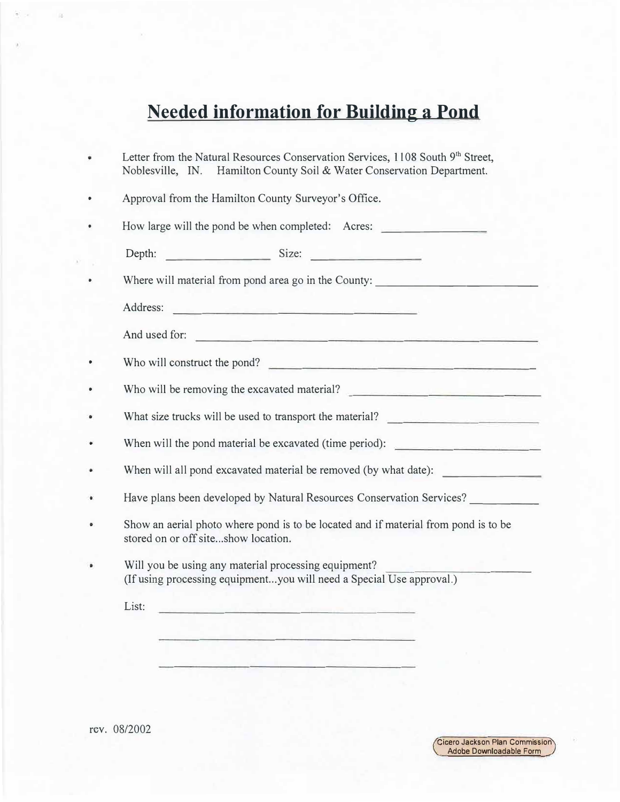## **Needed information for Building a Pond**

| Letter from the Natural Resources Conservation Services, 1108 South 9th Street,<br>Noblesville, IN. Hamilton County Soil & Water Conservation Department.                                                                                                      |  |  |  |  |  |
|----------------------------------------------------------------------------------------------------------------------------------------------------------------------------------------------------------------------------------------------------------------|--|--|--|--|--|
| Approval from the Hamilton County Surveyor's Office.                                                                                                                                                                                                           |  |  |  |  |  |
| How large will the pond be when completed: Acres:                                                                                                                                                                                                              |  |  |  |  |  |
| Size:<br>Depth:                                                                                                                                                                                                                                                |  |  |  |  |  |
| Where will material from pond area go in the County:                                                                                                                                                                                                           |  |  |  |  |  |
| Address:<br>the control of the second control of the control of the control of                                                                                                                                                                                 |  |  |  |  |  |
| And used for:<br>the complete of the complete state of the complete of the complete of the complete of the complete of the complete of the complete of the complete of the complete of the complete of the complete of the complete of the comp                |  |  |  |  |  |
| Who will construct the pond?<br>and the contract of the contract of the contract of the contract of the contract of the contract of the contract of the contract of the contract of the contract of the contract of the contract of the contract of the contra |  |  |  |  |  |
| Who will be removing the excavated material?                                                                                                                                                                                                                   |  |  |  |  |  |
| What size trucks will be used to transport the material?                                                                                                                                                                                                       |  |  |  |  |  |
| When will the pond material be excavated (time period):                                                                                                                                                                                                        |  |  |  |  |  |
| When will all pond excavated material be removed (by what date):                                                                                                                                                                                               |  |  |  |  |  |
| Have plans been developed by Natural Resources Conservation Services?                                                                                                                                                                                          |  |  |  |  |  |
| Show an aerial photo where pond is to be located and if material from pond is to be<br>stored on or off siteshow location.                                                                                                                                     |  |  |  |  |  |
| Will you be using any material processing equipment?                                                                                                                                                                                                           |  |  |  |  |  |
| (If using processing equipmentyou will need a Special Use approval.)                                                                                                                                                                                           |  |  |  |  |  |
| List:<br><u> Alexandria de la construcción de la construcción de la construcción de la construcción de la construcción de la construcción de la construcción de la construcción de la construcción de la construcción de la construcción </u>                  |  |  |  |  |  |

Cicero Jackson Plan Commission Adobe Downloadable Form

rev. 08/2002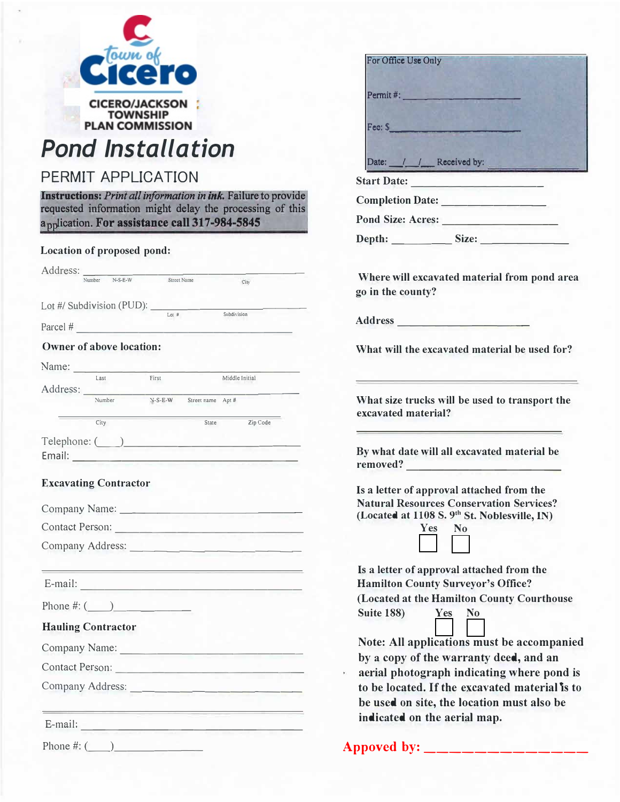

## *Pond Installation*

## PERMIT APPLICATION

**Instructions:** *Print all information in Ink.* Failure to provide requested information might delay the processing of this application. For assistance call 317-984-5845

## **Location of proposed pond:**

|                                                                    | Street Name |                   | City           |  |
|--------------------------------------------------------------------|-------------|-------------------|----------------|--|
|                                                                    |             |                   |                |  |
| Lot #/ Subdivision (PUD): $\frac{L_{\text{tot}}}{L_{\text{tot}}}}$ |             |                   | Subdivision    |  |
| Parcel $#$                                                         |             |                   |                |  |
| <b>Owner of above location:</b>                                    |             |                   |                |  |
|                                                                    |             |                   |                |  |
| Name:<br>Last                                                      | First       |                   | Middle Initial |  |
| Address:                                                           |             |                   |                |  |
| Number                                                             | $N-S-E-W$   | Street name Apt # |                |  |
| City                                                               |             | State             | Zip Code       |  |
|                                                                    |             |                   |                |  |
| Email:                                                             |             |                   |                |  |
| Contact Person:<br>Company Address:                                |             |                   |                |  |
|                                                                    |             |                   |                |  |
|                                                                    |             |                   |                |  |
| Phone #: $($                                                       |             |                   |                |  |
| <b>Hauling Contractor</b>                                          |             |                   |                |  |
|                                                                    |             |                   |                |  |
| Company Name:<br>Contact Person:                                   |             |                   |                |  |
|                                                                    |             |                   |                |  |
|                                                                    |             |                   |                |  |

| For Office Use Only<br>Permit#:<br>Fee: \$<br>Date: /// Received by:<br><u> 1980 - Johann John Stone, markin f</u><br>Where will excavated material from pond area<br>Is a letter of approval attached from the<br><b>Natural Resources Conservation Services?</b><br>(Located at 1108 S. 9th St. Noblesville, IN)<br><b>Yes</b><br>$\bf No$<br>Is a letter of approval attached from the<br><b>Suite 188)</b><br>Yes<br>N <sub>0</sub><br>Note: All applications must be accompanied<br>by a copy of the warranty deed, and an<br>aerial photograph indicating where pond is<br>to be located. If the excavated material is to |                                                                       |
|---------------------------------------------------------------------------------------------------------------------------------------------------------------------------------------------------------------------------------------------------------------------------------------------------------------------------------------------------------------------------------------------------------------------------------------------------------------------------------------------------------------------------------------------------------------------------------------------------------------------------------|-----------------------------------------------------------------------|
|                                                                                                                                                                                                                                                                                                                                                                                                                                                                                                                                                                                                                                 |                                                                       |
|                                                                                                                                                                                                                                                                                                                                                                                                                                                                                                                                                                                                                                 |                                                                       |
|                                                                                                                                                                                                                                                                                                                                                                                                                                                                                                                                                                                                                                 |                                                                       |
|                                                                                                                                                                                                                                                                                                                                                                                                                                                                                                                                                                                                                                 |                                                                       |
|                                                                                                                                                                                                                                                                                                                                                                                                                                                                                                                                                                                                                                 |                                                                       |
|                                                                                                                                                                                                                                                                                                                                                                                                                                                                                                                                                                                                                                 |                                                                       |
|                                                                                                                                                                                                                                                                                                                                                                                                                                                                                                                                                                                                                                 | <b>Start Date:</b>                                                    |
|                                                                                                                                                                                                                                                                                                                                                                                                                                                                                                                                                                                                                                 |                                                                       |
|                                                                                                                                                                                                                                                                                                                                                                                                                                                                                                                                                                                                                                 |                                                                       |
|                                                                                                                                                                                                                                                                                                                                                                                                                                                                                                                                                                                                                                 |                                                                       |
|                                                                                                                                                                                                                                                                                                                                                                                                                                                                                                                                                                                                                                 |                                                                       |
|                                                                                                                                                                                                                                                                                                                                                                                                                                                                                                                                                                                                                                 | go in the county?                                                     |
|                                                                                                                                                                                                                                                                                                                                                                                                                                                                                                                                                                                                                                 |                                                                       |
|                                                                                                                                                                                                                                                                                                                                                                                                                                                                                                                                                                                                                                 | What will the excavated material be used for?                         |
|                                                                                                                                                                                                                                                                                                                                                                                                                                                                                                                                                                                                                                 | What size trucks will be used to transport the<br>excavated material? |
|                                                                                                                                                                                                                                                                                                                                                                                                                                                                                                                                                                                                                                 | By what date will all excavated material be<br>removed?               |
|                                                                                                                                                                                                                                                                                                                                                                                                                                                                                                                                                                                                                                 |                                                                       |
|                                                                                                                                                                                                                                                                                                                                                                                                                                                                                                                                                                                                                                 |                                                                       |
|                                                                                                                                                                                                                                                                                                                                                                                                                                                                                                                                                                                                                                 |                                                                       |
|                                                                                                                                                                                                                                                                                                                                                                                                                                                                                                                                                                                                                                 |                                                                       |
|                                                                                                                                                                                                                                                                                                                                                                                                                                                                                                                                                                                                                                 |                                                                       |
|                                                                                                                                                                                                                                                                                                                                                                                                                                                                                                                                                                                                                                 |                                                                       |
|                                                                                                                                                                                                                                                                                                                                                                                                                                                                                                                                                                                                                                 | <b>Hamilton County Surveyor's Office?</b>                             |
|                                                                                                                                                                                                                                                                                                                                                                                                                                                                                                                                                                                                                                 | (Located at the Hamilton County Courthouse                            |
|                                                                                                                                                                                                                                                                                                                                                                                                                                                                                                                                                                                                                                 |                                                                       |
|                                                                                                                                                                                                                                                                                                                                                                                                                                                                                                                                                                                                                                 |                                                                       |
|                                                                                                                                                                                                                                                                                                                                                                                                                                                                                                                                                                                                                                 |                                                                       |
|                                                                                                                                                                                                                                                                                                                                                                                                                                                                                                                                                                                                                                 |                                                                       |
|                                                                                                                                                                                                                                                                                                                                                                                                                                                                                                                                                                                                                                 |                                                                       |
| be used on site, the location must also be                                                                                                                                                                                                                                                                                                                                                                                                                                                                                                                                                                                      |                                                                       |
| indicated on the aerial map.                                                                                                                                                                                                                                                                                                                                                                                                                                                                                                                                                                                                    |                                                                       |

Appoved by: